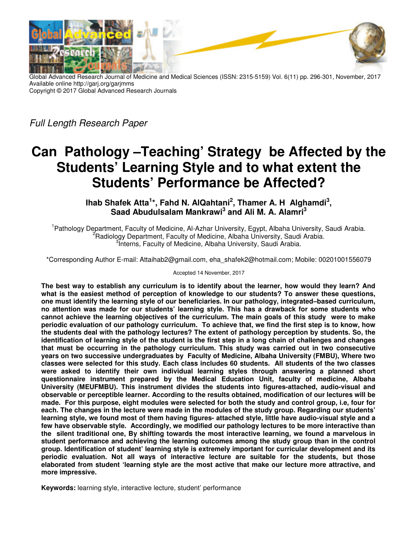

Global Advanced Research Journal of Medicine and Medical Sciences (ISSN: 2315-5159) Vol. 6(11) pp. 296-301, November, 2017 Available online http://garj.org/garjmms Copyright © 2017 Global Advanced Research Journals

Full Length Research Paper

# **Can Pathology –Teaching' Strategy be Affected by the Students' Learning Style and to what extent the Students' Performance be Affected?**

**Ihab Shafek Atta<sup>1</sup> \*, Fahd N. AlQahtani<sup>2</sup> , Thamer A. H Alghamdi<sup>3</sup> , Saad Abudulsalam Mankrawi<sup>3</sup> and Ali M. A. Alamri<sup>3</sup>**

<sup>1</sup> Pathology Department, Faculty of Medicine, Al-Azhar University, Egypt, Albaha University, Saudi Arabia. <sup>2</sup>Radiology Department, Faculty of Medicine, Albaha University, Saudi Arabia. <sup>3</sup>Interns, Faculty of Medicine, Albaha University, Saudi Arabia.

\*Corresponding Author E-mail: Attaihab2@gmail.com, eha\_shafek2@hotmail.com; Mobile: 00201001556079

Accepted 14 November, 2017

**The best way to establish any curriculum is to identify about the learner, how would they learn? And what is the easiest method of perception of knowledge to our students? To answer these questions, one must identify the learning style of our beneficiaries. In our pathology, integrated–based curriculum, no attention was made for our students' learning style. This has a drawback for some students who cannot achieve the learning objectives of the curriculum. The main goals of this study were to make periodic evaluation of our pathology curriculum. To achieve that, we find the first step is to know, how the students deal with the pathology lectures? The extent of pathology perception by students. So, the identification of learning style of the student is the first step in a long chain of challenges and changes that must be occurring in the pathology curriculum. This study was carried out in two consecutive years on two successive undergraduates by Faculty of Medicine, Albaha University (FMBU), Where two classes were selected for this study. Each class includes 60 students. All students of the two classes were asked to identify their own individual learning styles through answering a planned short questionnaire instrument prepared by the Medical Education Unit, faculty of medicine, Albaha University (MEUFMBU). This instrument divides the students into figures-attached, audio-visual and observable or perceptible learner. According to the results obtained, modification of our lectures will be made. For this purpose, eight modules were selected for both the study and control group, i.e, four for each. The changes in the lecture were made in the modules of the study group. Regarding our students' learning style, we found most of them having figures- attached style, little have audio-visual style and a few have observable style. Accordingly, we modified our pathology lectures to be more interactive than the silent traditional one, By shifting towards the most interactive learning, we found a marvelous in student performance and achieving the learning outcomes among the study group than in the control group. Identification of student' learning style is extremely important for curricular development and its periodic evaluation. Not all ways of interactive lecture are suitable for the students, but those elaborated from student 'learning style are the most active that make our lecture more attractive, and more impressive.** 

**Keywords:** learning style, interactive lecture, student' performance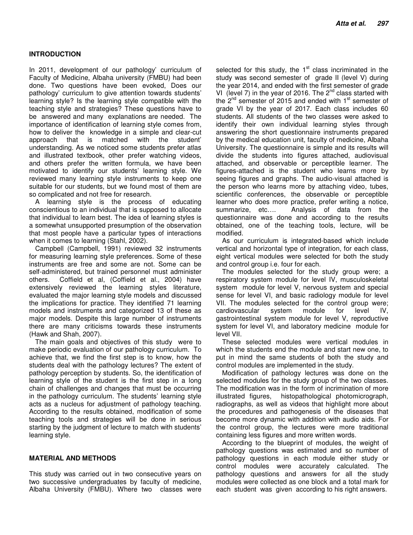## **INTRODUCTION**

In 2011, development of our pathology' curriculum of Faculty of Medicine, Albaha university (FMBU) had been done. Two questions have been evoked, Does our pathology' curriculum to give attention towards students' learning style? Is the learning style compatible with the teaching style and strategies? These questions have to be answered and many explanations are needed. The importance of identification of learning style comes from, how to deliver the knowledge in a simple and clear-cut approach that is matched with the student' understanding. As we noticed some students prefer atlas and illustrated textbook, other prefer watching videos, and others prefer the written formula, we have been motivated to identify our students' learning style. We reviewed many learning style instruments to keep one suitable for our students, but we found most of them are so complicated and not free for research.

A learning style is the process of educating conscientious to an individual that is supposed to allocate that individual to learn best. The idea of learning styles is a somewhat unsupported presumption of the observation that most people have a particular types of interactions when it comes to learning (Stahl, 2002).

Campbell (Campbell, 1991) reviewed 32 instruments for measuring learning style preferences. Some of these instruments are free and some are not. Some can be self-administered, but trained personnel must administer others. Coffield et al, (Coffield et al., 2004) have extensively reviewed the learning styles literature, evaluated the major learning style models and discussed the implications for practice. They identified 71 learning models and instruments and categorized 13 of these as major models. Despite this large number of instruments there are many criticisms towards these instruments (Hawk and Shah, 2007).

The main goals and objectives of this study were to make periodic evaluation of our pathology curriculum. To achieve that, we find the first step is to know, how the students deal with the pathology lectures? The extent of pathology perception by students. So, the identification of learning style of the student is the first step in a long chain of challenges and changes that must be occurring in the pathology curriculum. The students' learning style acts as a nucleus for adjustment of pathology teaching. According to the results obtained, modification of some teaching tools and strategies will be done in serious starting by the judgment of lecture to match with students' learning style.

### **MATERIAL AND METHODS**

This study was carried out in two consecutive years on two successive undergraduates by faculty of medicine, Albaha University (FMBU). Where two classes were

selected for this study, the  $1<sup>st</sup>$  class incriminated in the study was second semester of grade II (level V) during the year 2014, and ended with the first semester of grade VI (level 7) in the year of 2016. The  $2^{nd}$  class started with the  $2^{nd}$  semester of 2015 and ended with  $1^{st}$  semester of grade VI by the year of 2017. Each class includes 60 students. All students of the two classes were asked to identify their own individual learning styles through answering the short questionnaire instruments prepared by the medical education unit, faculty of medicine, Albaha University. The questionnaire is simple and its results will divide the students into figures attached, audiovisual attached, and observable or perceptible learner. The figures-attached is the student who learns more by seeing figures and graphs. The audio-visual attached is the person who learns more by attaching video, tubes, scientific conferences, the observable or perceptible learner who does more practice, prefer writing a notice, summarize, etc…. Analysis of data from the questionnaire was done and according to the results obtained, one of the teaching tools, lecture, will be modified.

As our curriculum is integrated-based which include vertical and horizontal type of integration, for each class, eight vertical modules were selected for both the study and control group i.e. four for each.

The modules selected for the study group were; a respiratory system module for level IV, musculoskeletal system module for level V, nervous system and special sense for level VI, and basic radiology module for level VII. The modules selected for the control group were; cardiovascular system module for level IV, gastrointestinal system module for level V, reproductive system for level VI, and laboratory medicine module for level VII.

These selected modules were vertical modules in which the students end the module and start new one, to put in mind the same students of both the study and control modules are implemented in the study.

Modification of pathology lectures was done on the selected modules for the study group of the two classes. The modification was in the form of incrimination of more illustrated figures, histopathological photomicrograph, radiographs, as well as videos that highlight more about the procedures and pathogenesis of the diseases that become more dynamic with addition with audio aids. For the control group, the lectures were more traditional containing less figures and more written words.

According to the blueprint of modules, the weight of pathology questions was estimated and so number of pathology questions in each module either study or control modules were accurately calculated. The pathology questions and answers for all the study modules were collected as one block and a total mark for each student was given according to his right answers.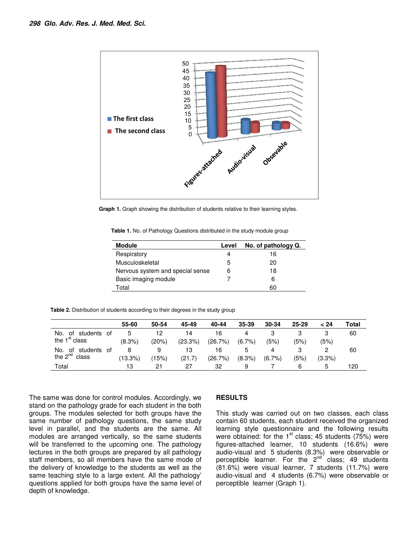

**Graph 1.** Graph showing the distribution of students relative to their learning styles.

Table 1. No. of Pathology Questions distributed in the study module group

| <b>Module</b>                    | Level | No. of pathology Q. |
|----------------------------------|-------|---------------------|
| Respiratory                      | 4     | 16                  |
| Musculoskeletal                  | 5     | 20                  |
| Nervous system and special sense | 6     | 18                  |
| Basic imaging module             |       | 6                   |
| Total                            |       | 60                  |

**Table 2.** Distribution of students according to their degrees in the study group

|                            | 55-60     | 50-54 | 45-49   | 40-44   | 35-39     | 30-34     | $25 - 29$ | 24 >   | Total |
|----------------------------|-----------|-------|---------|---------|-----------|-----------|-----------|--------|-------|
| No.<br>of students<br>- ot | 5         | 12    | 14      | 16      | 4         |           |           |        | 60    |
| the 1 <sup>st</sup> class  | $(8.3\%)$ | (20%) | (23.3%) | (26.7%) | $(6.7\%)$ | (5%)      | (5%)      | (5%)   |       |
| No.<br>of students<br>0t   | 8         | 9     | 13      | 16      | 5         | 4         |           |        | 60    |
| the $2^{nd}$<br>class      | (13.3%)   | (15%) | (21.7)  | (26.7%) | $(8.3\%)$ | $(6.7\%)$ | (5%)      | (3.3%) |       |
| Total                      | 13        | 21    | 27      | 32      | 9         |           | 6         | 5      | 120   |

The same was done for control modules. Accordingly, we stand on the pathology grade for each student in the both groups. The modules selected for both groups have the same number of pathology questions, the same study level in parallel, and the students are the same. All modules are arranged vertically, so the same students will be transferred to the upcoming one. The pathology lectures in the both groups are prepared by all pathology staff members, so all members have the same mode of the delivery of knowledge to the students as well as the same teaching style to a large extent. All the pathology' questions applied for both groups have the same level of depth of knowledge.

### **RESULTS**

This study was carried out on two classes, each class contain 60 students, each student received the organized learning style questionnaire and the following results were obtained: for the  $1<sup>st</sup>$  class; 45 students (75%) were figures-attached learner, 10 students (16.6%) were audio-visual and 5 students (8.3%) were observable or perceptible learner. For the  $2^{nd'}$  class; 49 students (81.6%) were visual learner, 7 students (11.7%) were audio-visual and 4 students (6.7%) were observable or perceptible learner (Graph 1).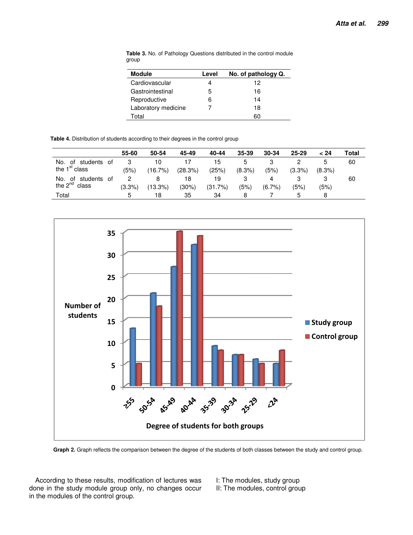| <b>Module</b>       | Level | No. of pathology Q. |
|---------------------|-------|---------------------|
| Cardiovascular      |       | 12                  |
| Gastrointestinal    | 5     | 16                  |
| Reproductive        | 6     | 14                  |
| Laboratory medicine |       | 18                  |
| Total               |       | 60                  |

**Table 3.** No. of Pathology Questions distributed in the control module group

**Table 4.** Distribution of students according to their degrees in the control group

|                            | 55-60  | 50-54   | 45-49   | 40-44   | $35 - 39$ | 30-34 | $25 - 29$ | 24 >      | Total |
|----------------------------|--------|---------|---------|---------|-----------|-------|-----------|-----------|-------|
| No.<br>of students<br>. of |        | 10      |         | 15      |           |       |           |           | 60    |
| the $1st$ class            | (5%)   | (16.7%) | (28.3%) | (25%)   | $(8.3\%)$ | (5%)  | $(3.3\%)$ | $(8.3\%)$ |       |
| No.<br>of students<br>0f   |        |         | 18      | 19      |           |       | 3         |           | 60    |
| the $2^{nd}$<br>class      | (3.3%) | (13.3%) | (30%)   | (31.7%) | (5%)      | (6.7% | (5%)      | (5%)      |       |
| Total                      | h.     | 18      | 35      | 34      | 8         |       | b         |           |       |



**Graph 2.** Graph reflects the comparison between the degree of the students of both classes between the study and control group.

According to these results, modification of lectures was done in the study module group only, no changes occur in the modules of the control group.

I: The modules, study group II: The modules, control group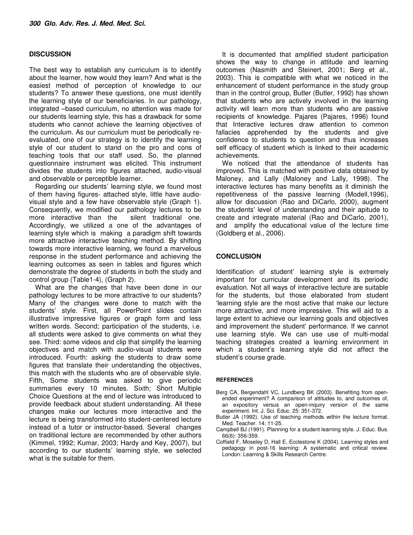#### **DISCUSSION**

The best way to establish any curriculum is to identify about the learner, how would they learn? And what is the easiest method of perception of knowledge to our students? To answer these questions, one must identify the learning style of our beneficiaries. In our pathology, integrated –based curriculum, no attention was made for our students learning style, this has a drawback for some students who cannot achieve the learning objectives of the curriculum. As our curriculum must be periodically reevaluated, one of our strategy is to identify the learning style of our student to stand on the pro and cons of teaching tools that our staff used. So, the planned questionnaire instrument was elicited. This instrument divides the students into figures attached, audio-visual and observable or perceptible learner.

Regarding our students' learning style, we found most of them having figures- attached style, little have audiovisual style and a few have observable style (Graph 1). Consequently, we modified our pathology lectures to be more interactive than the silent traditional one. Accordingly, we utilized a one of the advantages of learning style which is making a paradigm shift towards more attractive interactive teaching method. By shifting towards more interactive learning, we found a marvelous response in the student performance and achieving the learning outcomes as seen in tables and figures which demonstrate the degree of students in both the study and control group (Table1-4), (Graph 2).

What are the changes that have been done in our pathology lectures to be more attractive to our students? Many of the changes were done to match with the students' style. First, all PowerPoint slides contain illustrative impressive figures or graph form and less written words. Second; participation of the students, i.e. all students were asked to give comments on what they see. Third: some videos and clip that simplify the learning objectives and match with audio-visual students were introduced. Fourth: asking the students to draw some figures that translate their understanding the objectives, this match with the students who are of observable style. Fifth, Some students was asked to give periodic summaries every 10 minutes. Sixth; Short Multiple Choice Questions at the end of lecture was introduced to provide feedback about student understanding. All these changes make our lectures more interactive and the lecture is being transformed into student-centered lecture instead of a tutor or instructor-based. Several changes on traditional lecture are recommended by other authors (Kimmel, 1992; Kumar, 2003; Hardy and Key, 2007), but according to our students' learning style, we selected what is the suitable for them.

It is documented that amplified student participation shows the way to change in attitude and learning outcomes (Nasmith and Steinert, 2001; Berg et al., 2003). This is compatible with what we noticed in the enhancement of student performance in the study group than in the control group, Butler (Butler, 1992) has shown that students who are actively involved in the learning activity will learn more than students who are passive recipients of knowledge. Pajares (Pajares, 1996) found that Interactive lectures draw attention to common fallacies apprehended by the students and give confidence to students to question and thus increases self efficacy of student which is linked to their academic achievements.

We noticed that the attendance of students has improved. This is matched with positive data obtained by Maloney, and Lally (Maloney and Lally, 1998). The interactive lectures has many benefits as it diminish the repetitiveness of the passive learning (Modell,1996), allow for discussion (Rao and DiCarlo, 2000), augment the students' level of understanding and their apitude to create and integrate material (Rao and DiCarlo, 2001), and amplify the educational value of the lecture time (Goldberg et al., 2006).

#### **CONCLUSION**

Identification of student' learning style is extremely important for curricular development and its periodic evaluation. Not all ways of interactive lecture are suitable for the students, but those elaborated from student 'learning style are the most active that make our lecture more attractive, and more impressive. This will aid to a large extent to achieve our learning goals and objectives and improvement the student' performance. If we cannot use learning style. We can use use of multi-modal teaching strategies created a learning environment in which a student's learning style did not affect the student's course grade.

#### **REFERENCES**

- Berg CA, Bergendahl VC, Lundberg BK (2003). Benefiting from openended experiment? A comparison of attitudes to, and outcomes of, an expository versus an open-inquiry version of the same experiment. Int. J. Sci. Educ. 25: 351-372.
- Butler JA (1992). Use of teaching methods within the lecture format. Med. Teacher. 14: 11-25.
- Campbell BJ (1991). Planning for a student learning style. J. Educ. Bus. 66(6): 356-359.
- Coffield F, Moseley D, Hall E, Ecclestone K (2004). Learning styles and pedagogy in post-16 learning: A systematic and critical review. London: Learning & Skills Research Centre.